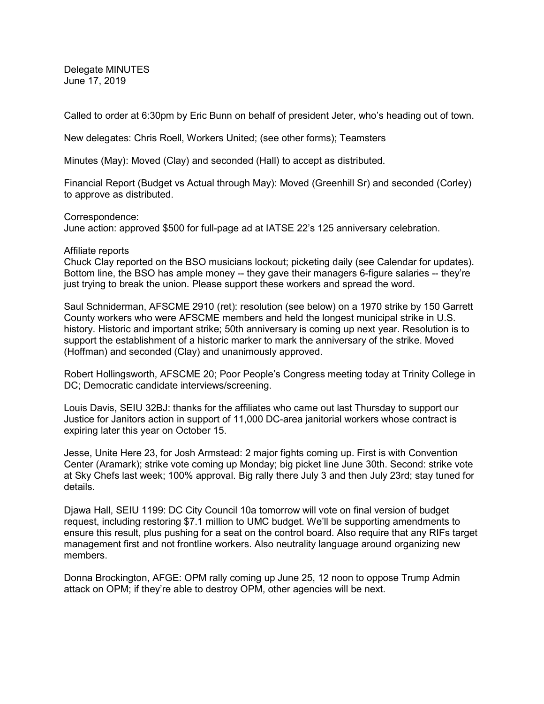Delegate MINUTES June 17, 2019

Called to order at 6:30pm by Eric Bunn on behalf of president Jeter, who's heading out of town.

New delegates: Chris Roell, Workers United; (see other forms); Teamsters

Minutes (May): Moved (Clay) and seconded (Hall) to accept as distributed.

Financial Report (Budget vs Actual through May): Moved (Greenhill Sr) and seconded (Corley) to approve as distributed.

Correspondence:

June action: approved \$500 for full-page ad at IATSE 22's 125 anniversary celebration.

#### Affiliate reports

Chuck Clay reported on the BSO musicians lockout; picketing daily (see Calendar for updates). Bottom line, the BSO has ample money -- they gave their managers 6-figure salaries -- they're just trying to break the union. Please support these workers and spread the word.

Saul Schniderman, AFSCME 2910 (ret): resolution (see below) on a 1970 strike by 150 Garrett County workers who were AFSCME members and held the longest municipal strike in U.S. history. Historic and important strike; 50th anniversary is coming up next year. Resolution is to support the establishment of a historic marker to mark the anniversary of the strike. Moved (Hoffman) and seconded (Clay) and unanimously approved.

Robert Hollingsworth, AFSCME 20; Poor People's Congress meeting today at Trinity College in DC; Democratic candidate interviews/screening.

Louis Davis, SEIU 32BJ: thanks for the affiliates who came out last Thursday to support our Justice for Janitors action in support of 11,000 DC-area janitorial workers whose contract is expiring later this year on October 15.

Jesse, Unite Here 23, for Josh Armstead: 2 major fights coming up. First is with Convention Center (Aramark); strike vote coming up Monday; big picket line June 30th. Second: strike vote at Sky Chefs last week; 100% approval. Big rally there July 3 and then July 23rd; stay tuned for details.

Djawa Hall, SEIU 1199: DC City Council 10a tomorrow will vote on final version of budget request, including restoring \$7.1 million to UMC budget. We'll be supporting amendments to ensure this result, plus pushing for a seat on the control board. Also require that any RIFs target management first and not frontline workers. Also neutrality language around organizing new members.

Donna Brockington, AFGE: OPM rally coming up June 25, 12 noon to oppose Trump Admin attack on OPM; if they're able to destroy OPM, other agencies will be next.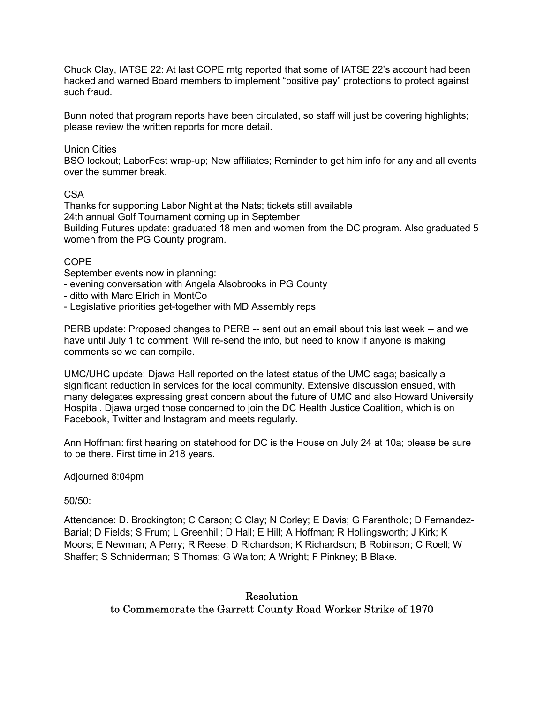Chuck Clay, IATSE 22: At last COPE mtg reported that some of IATSE 22's account had been hacked and warned Board members to implement "positive pay" protections to protect against such fraud.

Bunn noted that program reports have been circulated, so staff will just be covering highlights; please review the written reports for more detail.

### Union Cities

BSO lockout; LaborFest wrap-up; New affiliates; Reminder to get him info for any and all events over the summer break.

#### CSA

Thanks for supporting Labor Night at the Nats; tickets still available 24th annual Golf Tournament coming up in September Building Futures update: graduated 18 men and women from the DC program. Also graduated 5 women from the PG County program.

## COPE

September events now in planning:

- evening conversation with Angela Alsobrooks in PG County
- ditto with Marc Elrich in MontCo
- Legislative priorities get-together with MD Assembly reps

PERB update: Proposed changes to PERB -- sent out an email about this last week -- and we have until July 1 to comment. Will re-send the info, but need to know if anyone is making comments so we can compile.

UMC/UHC update: Djawa Hall reported on the latest status of the UMC saga; basically a significant reduction in services for the local community. Extensive discussion ensued, with many delegates expressing great concern about the future of UMC and also Howard University Hospital. Djawa urged those concerned to join the DC Health Justice Coalition, which is on Facebook, Twitter and Instagram and meets regularly.

Ann Hoffman: first hearing on statehood for DC is the House on July 24 at 10a; please be sure to be there. First time in 218 years.

Adjourned 8:04pm

 $50/50$ 

Attendance: D. Brockington; C Carson; C Clay; N Corley; E Davis; G Farenthold; D Fernandez-Barial; D Fields; S Frum; L Greenhill; D Hall; E Hill; A Hoffman; R Hollingsworth; J Kirk; K Moors; E Newman; A Perry; R Reese; D Richardson; K Richardson; B Robinson; C Roell; W Shaffer; S Schniderman; S Thomas; G Walton; A Wright; F Pinkney; B Blake.

# Resolution to Commemorate the Garrett County Road Worker Strike of 1970